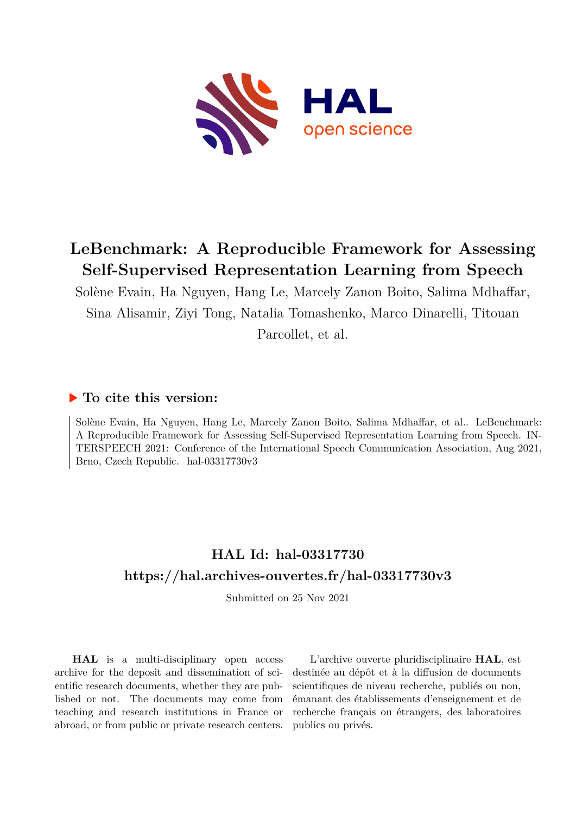

# **LeBenchmark: A Reproducible Framework for Assessing Self-Supervised Representation Learning from Speech**

Solène Evain, Ha Nguyen, Hang Le, Marcely Zanon Boito, Salima Mdhaffar, Sina Alisamir, Ziyi Tong, Natalia Tomashenko, Marco Dinarelli, Titouan

Parcollet, et al.

## **To cite this version:**

Solène Evain, Ha Nguyen, Hang Le, Marcely Zanon Boito, Salima Mdhaffar, et al.. LeBenchmark: A Reproducible Framework for Assessing Self-Supervised Representation Learning from Speech. IN-TERSPEECH 2021: Conference of the International Speech Communication Association, Aug 2021, Brno, Czech Republic.  $hal-03317730v3$ 

# **HAL Id: hal-03317730 <https://hal.archives-ouvertes.fr/hal-03317730v3>**

Submitted on 25 Nov 2021

**HAL** is a multi-disciplinary open access archive for the deposit and dissemination of scientific research documents, whether they are published or not. The documents may come from teaching and research institutions in France or abroad, or from public or private research centers.

L'archive ouverte pluridisciplinaire **HAL**, est destinée au dépôt et à la diffusion de documents scientifiques de niveau recherche, publiés ou non, émanant des établissements d'enseignement et de recherche français ou étrangers, des laboratoires publics ou privés.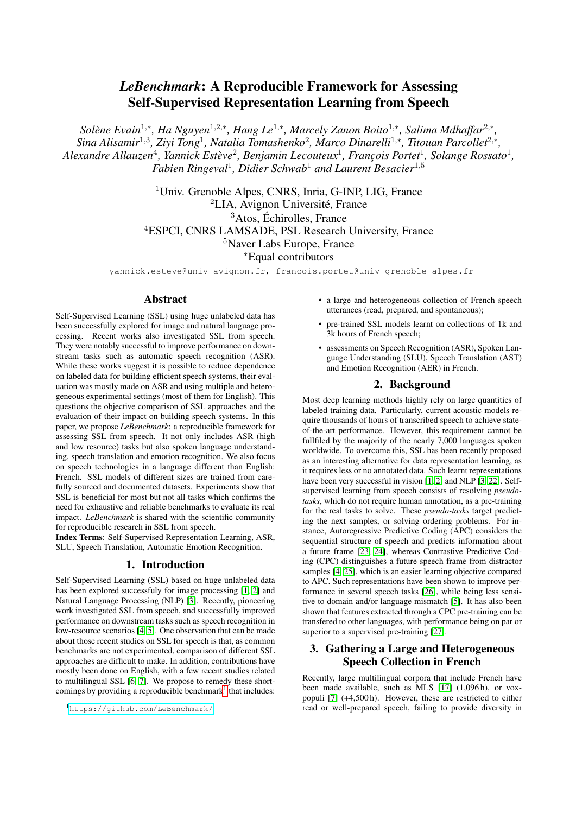## *LeBenchmark*: A Reproducible Framework for Assessing Self-Supervised Representation Learning from Speech

*Solène Evain<sup>1,∗</sup>, Ha Nguyen<sup>1,2,∗</sup>, Hang Le<sup>1,∗</sup>, Marcely Zanon Boito<sup>1,</sup>\*, Salima Mdhaffar<sup>2,</sup>\*, Sina Alisamir*<sup>1</sup>,<sup>3</sup> *, Ziyi Tong*<sup>1</sup> *, Natalia Tomashenko*<sup>2</sup> *, Marco Dinarelli*<sup>1</sup>,<sup>∗</sup> *, Titouan Parcollet*<sup>2</sup>,<sup>∗</sup> *,* Alexandre Allauzen<sup>4</sup>, Yannick Estève<sup>2</sup>, Benjamin Lecouteux<sup>1</sup>, François Portet<sup>1</sup>, Solange Rossato<sup>1</sup>, *Fabien Ringeval*<sup>1</sup> *, Didier Schwab*<sup>1</sup> *and Laurent Besacier*<sup>1</sup>,<sup>5</sup>

> <sup>1</sup>Univ. Grenoble Alpes, CNRS, Inria, G-INP, LIG, France <sup>2</sup>LIA, Avignon Université, France  ${}^{3}$ Atos, Échirolles, France <sup>4</sup>ESPCI, CNRS LAMSADE, PSL Research University, France <sup>5</sup>Naver Labs Europe, France <sup>∗</sup>Equal contributors

yannick.esteve@univ-avignon.fr, francois.portet@univ-grenoble-alpes.fr

## Abstract

Self-Supervised Learning (SSL) using huge unlabeled data has been successfully explored for image and natural language processing. Recent works also investigated SSL from speech. They were notably successful to improve performance on downstream tasks such as automatic speech recognition (ASR). While these works suggest it is possible to reduce dependence on labeled data for building efficient speech systems, their evaluation was mostly made on ASR and using multiple and heterogeneous experimental settings (most of them for English). This questions the objective comparison of SSL approaches and the evaluation of their impact on building speech systems. In this paper, we propose *LeBenchmark*: a reproducible framework for assessing SSL from speech. It not only includes ASR (high and low resource) tasks but also spoken language understanding, speech translation and emotion recognition. We also focus on speech technologies in a language different than English: French. SSL models of different sizes are trained from carefully sourced and documented datasets. Experiments show that SSL is beneficial for most but not all tasks which confirms the need for exhaustive and reliable benchmarks to evaluate its real impact. *LeBenchmark* is shared with the scientific community for reproducible research in SSL from speech.

Index Terms: Self-Supervised Representation Learning, ASR, SLU, Speech Translation, Automatic Emotion Recognition.

## 1. Introduction

Self-Supervised Learning (SSL) based on huge unlabeled data has been explored successfuly for image processing [1, 2] and Natural Language Processing (NLP) [3]. Recently, pioneering work investigated SSL from speech, and successfully improved performance on downstream tasks such as speech recognition in low-resource scenarios [4, 5]. One observation that can be made about those recent studies on SSL for speech is that, as common benchmarks are not experimented, comparison of different SSL approaches are difficult to make. In addition, contributions have mostly been done on English, with a few recent studies related to multilingual SSL [6, 7]. We propose to remedy these shortcomings by providing a reproducible benchmark<sup>1</sup> that includes:

- a large and heterogeneous collection of French speech utterances (read, prepared, and spontaneous);
- pre-trained SSL models learnt on collections of 1k and 3k hours of French speech;
- assessments on Speech Recognition (ASR), Spoken Language Understanding (SLU), Speech Translation (AST) and Emotion Recognition (AER) in French.

## 2. Background

Most deep learning methods highly rely on large quantities of labeled training data. Particularly, current acoustic models require thousands of hours of transcribed speech to achieve stateof-the-art performance. However, this requirement cannot be fullfiled by the majority of the nearly 7,000 languages spoken worldwide. To overcome this, SSL has been recently proposed as an interesting alternative for data representation learning, as it requires less or no annotated data. Such learnt representations have been very successful in vision [1, 2] and NLP [3, 22]. Selfsupervised learning from speech consists of resolving *pseudotasks*, which do not require human annotation, as a pre-training for the real tasks to solve. These *pseudo-tasks* target predicting the next samples, or solving ordering problems. For instance, Autoregressive Predictive Coding (APC) considers the sequential structure of speech and predicts information about a future frame [23, 24], whereas Contrastive Predictive Coding (CPC) distinguishes a future speech frame from distractor samples [4, 25], which is an easier learning objective compared to APC. Such representations have been shown to improve performance in several speech tasks [26], while being less sensitive to domain and/or language mismatch [5]. It has also been shown that features extracted through a CPC pre-training can be transfered to other languages, with performance being on par or superior to a supervised pre-training [27].

## 3. Gathering a Large and Heterogeneous Speech Collection in French

Recently, large multilingual corpora that include French have been made available, such as MLS [17] (1,096 h), or voxpopuli [7] (+4,500 h). However, these are restricted to either read or well-prepared speech, failing to provide diversity in

<sup>1</sup><https://github.com/LeBenchmark/>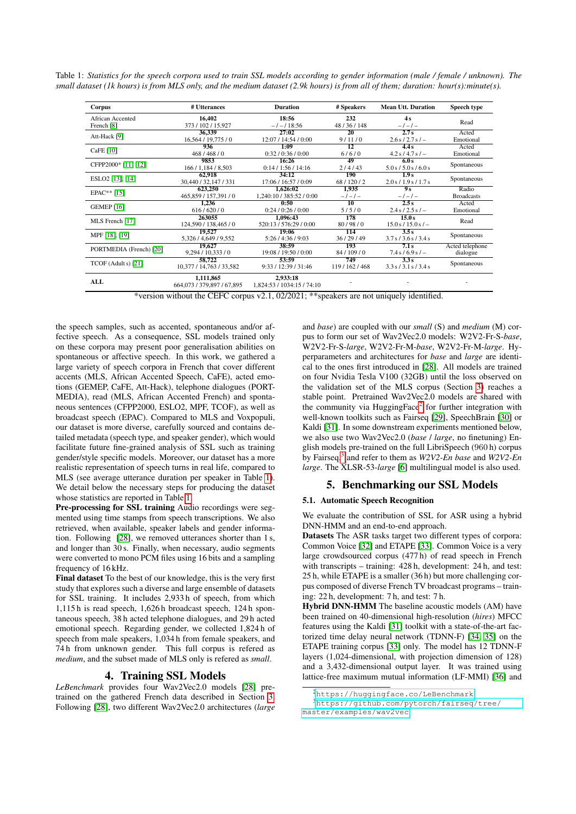Table 1: *Statistics for the speech corpora used to train SSL models according to gender information (male / female / unknown). The small dataset (1k hours) is from MLS only, and the medium dataset (2.9k hours) is from all of them; duration: hour(s):minute(s).*

| Corpus                                    | # Utterances                            | <b>Duration</b>                        | # Speakers               | <b>Mean Utt. Duration</b>      | Speech type                 |
|-------------------------------------------|-----------------------------------------|----------------------------------------|--------------------------|--------------------------------|-----------------------------|
| African Accented<br>French <sup>[8]</sup> | 16,402<br>373 / 102 / 15,927            | 18:56<br>$-/-/18:56$                   | 232<br>48/36/148         | 4s<br>$-1-1-$                  | Read                        |
| Att-Hack [9]                              | 36.339<br>16,564 / 19,775 / 0           | 27:02<br>12:07 / 14:54 / 0:00          | 20<br>9/11/0             | 2.7s<br>$2.6 s / 2.7 s / -$    | Acted<br>Emotional          |
| CaFE $[10]$                               | 936<br>468/468/0                        | 1:09<br>0:32/0:36/0:00                 | $\overline{12}$<br>6/6/0 | 4.4s<br>$4.2 s / 4.7 s / -$    | Acted<br>Emotional          |
| CFPP2000* [11] [12]                       | 9853<br>166 / 1,184 / 8,503             | 16:26<br>0:14/1:56/14:16               | 49<br>2/4/43             | 6.0 s<br>5.0 s / 5.0 s / 6.0 s | Spontaneous                 |
| ESLO <sub>2</sub> [13], [14]              | 62.918<br>30,440 / 32,147 / 331         | 34:12<br>17:06 / 16:57 / 0:09          | 190<br>68/120/2          | 1.9s<br>2.0 s / 1.9 s / 1.7 s  | Spontaneous                 |
| $EPAC**$ [15]                             | 623,250<br>465,859 / 157,391 / 0        | 1.626:02<br>1,240:10 / 385:52 / 0:00   | 1.935<br>$-1$ – $1$ –    | 9s<br>$-1-1-$                  | Radio<br><b>Broadcasts</b>  |
| <b>GEMEP</b> [16]                         | 1.236<br>616/620/0                      | 0:50<br>0:24/0:26/0:00                 | 10<br>5/5/0              | 2.5s<br>$2.4 s / 2.5 s / -$    | Acted<br>Emotional          |
| MLS French [17]                           | 263055<br>124,590 / 138,465 / 0         | 1.096:43<br>520:13/576:29/0:00         | 178<br>80/98/0           | 15.0s<br>$15.0 s / 15.0 s / -$ | Read                        |
| MPF [18], [19]                            | 19.527<br>5,326 / 4,649 / 9,552         | 19:06<br>5:26/4:36/9:03                | 114<br>36/29/49          | 3.5s<br>3.7 s / 3.6 s / 3.4 s  | Spontaneous                 |
| PORTMEDIA (French) [20]                   | 19,627<br>9,294/10,333/0                | 38:59<br>19:08 / 19:50 / 0:00          | 193<br>84/109/0          | 7.1s<br>$7.4 s / 6.9 s / -$    | Acted telephone<br>dialogue |
| TCOF (Adult s) [21]                       | 58,722<br>10,377 / 14,763 / 33,582      | 53:59<br>9:33 / 12:39 / 31:46          | 749<br>119/162/468       | 3.3s<br>3.3 s / 3.1 s / 3.4 s  | Spontaneous                 |
| ALL                                       | 1,111,865<br>664,073 / 379,897 / 67,895 | 2,933:18<br>1,824:53 / 1034:15 / 74:10 |                          |                                |                             |

\*version without the CEFC corpus v2.1, 02/2021; \*\*speakers are not uniquely identified.

the speech samples, such as accented, spontaneous and/or affective speech. As a consequence, SSL models trained only on these corpora may present poor generalisation abilities on spontaneous or affective speech. In this work, we gathered a large variety of speech corpora in French that cover different accents (MLS, African Accented Speech, CaFE), acted emotions (GEMEP, CaFE, Att-Hack), telephone dialogues (PORT-MEDIA), read (MLS, African Accented French) and spontaneous sentences (CFPP2000, ESLO2, MPF, TCOF), as well as broadcast speech (EPAC). Compared to MLS and Voxpopuli, our dataset is more diverse, carefully sourced and contains detailed metadata (speech type, and speaker gender), which would facilitate future fine-grained analysis of SSL such as training gender/style specific models. Moreover, our dataset has a more realistic representation of speech turns in real life, compared to MLS (see average utterance duration per speaker in Table 1). We detail below the necessary steps for producing the dataset whose statistics are reported in Table 1.

Pre-processing for SSL training Audio recordings were segmented using time stamps from speech transcriptions. We also retrieved, when available, speaker labels and gender information. Following [28], we removed utterances shorter than 1 s, and longer than 30 s. Finally, when necessary, audio segments were converted to mono PCM files using 16 bits and a sampling frequency of 16 kHz.

Final dataset To the best of our knowledge, this is the very first study that explores such a diverse and large ensemble of datasets for SSL training. It includes 2,933 h of speech, from which 1,115 h is read speech, 1,626 h broadcast speech, 124 h spontaneous speech, 38 h acted telephone dialogues, and 29 h acted emotional speech. Regarding gender, we collected 1,824 h of speech from male speakers, 1,034 h from female speakers, and 74 h from unknown gender. This full corpus is refered as *medium*, and the subset made of MLS only is refered as *small*.

## 4. Training SSL Models

*LeBenchmark* provides four Wav2Vec2.0 models [28] pretrained on the gathered French data described in Section 3. Following [28], two different Wav2Vec2.0 architectures (*large*

and *base*) are coupled with our *small* (S) and *medium* (M) corpus to form our set of Wav2Vec2.0 models: W2V2-Fr-S-*base*, W2V2-Fr-S-*large*, W2V2-Fr-M-*base*, W2V2-Fr-M-*large*. Hyperparameters and architectures for *base* and *large* are identical to the ones first introduced in [28]. All models are trained on four Nvidia Tesla V100 (32GB) until the loss observed on the validation set of the MLS corpus (Section 3) reaches a stable point. Pretrained Wav2Vec2.0 models are shared with the community via HuggingFace<sup>2</sup> for further integration with well-known toolkits such as Fairseq [29], SpeechBrain [30] or Kaldi [31]. In some downstream experiments mentioned below, we also use two Wav2Vec2.0 (*base* / *large*, no finetuning) English models pre-trained on the full LibriSpeech (960 h) corpus by Fairseq,3 and refer to them as *W2V2-En base* and *W2V2-En large*. The XLSR-53-*large* [6] multilingual model is also used.

## 5. Benchmarking our SSL Models

### 5.1. Automatic Speech Recognition

We evaluate the contribution of SSL for ASR using a hybrid DNN-HMM and an end-to-end approach.

Datasets The ASR tasks target two different types of corpora: Common Voice [32] and ETAPE [33]. Common Voice is a very large crowdsourced corpus (477 h) of read speech in French with transcripts – training: 428 h, development: 24 h, and test: 25 h, while ETAPE is a smaller (36 h) but more challenging corpus composed of diverse French TV broadcast programs – training: 22 h, development: 7 h, and test: 7 h.

Hybrid DNN-HMM The baseline acoustic models (AM) have been trained on 40-dimensional high-resolution (*hires*) MFCC features using the Kaldi [31] toolkit with a state-of-the-art factorized time delay neural network (TDNN-F) [34, 35] on the ETAPE training corpus [33] only. The model has 12 TDNN-F layers (1,024-dimensional, with projection dimension of 128) and a 3,432-dimensional output layer. It was trained using lattice-free maximum mutual information (LF-MMI) [36] and

<sup>2</sup><https://huggingface.co/LeBenchmark>

<sup>3</sup>[https://github.com/pytorch/fairseq/tree/](https://github.com/pytorch/fairseq/tree/master/examples/wav2vec) [master/examples/wav2vec](https://github.com/pytorch/fairseq/tree/master/examples/wav2vec)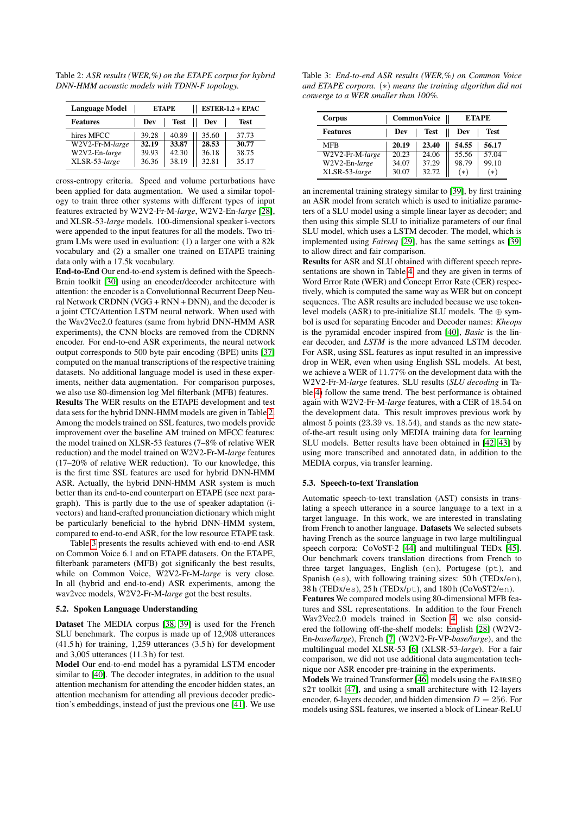Table 2: *ASR results (WER,%) on the ETAPE corpus for hybrid DNN-HMM acoustic models with TDNN-F topology.*

| <b>Language Model</b> |       | <b>ETAPE</b> | ESTER-1.2 + EPAC |       |  |
|-----------------------|-------|--------------|------------------|-------|--|
| <b>Features</b>       | Dev   | <b>Test</b>  | Dev              | Test  |  |
| hires MFCC            | 39.28 | 40.89        | 35.60            | 37.73 |  |
| W2V2-Fr-M-large       | 32.19 | 33.87        | 28.53            | 30.77 |  |
| W2V2-En-large         | 39.93 | 42.30        | 36.18            | 38.75 |  |
| XLSR-53-large         | 36.36 | 38.19        | 32.81            | 35.17 |  |

cross-entropy criteria. Speed and volume perturbations have been applied for data augmentation. We used a similar topology to train three other systems with different types of input features extracted by W2V2-Fr-M-*large*, W2V2-En-*large* [28], and XLSR-53-*large* models. 100-dimensional speaker i-vectors were appended to the input features for all the models. Two trigram LMs were used in evaluation: (1) a larger one with a 82k vocabulary and (2) a smaller one trained on ETAPE training data only with a 17.5k vocabulary.

End-to-End Our end-to-end system is defined with the Speech-Brain toolkit [30] using an encoder/decoder architecture with attention: the encoder is a Convolutionnal Recurrent Deep Neural Network CRDNN (VGG + RNN + DNN), and the decoder is a joint CTC/Attention LSTM neural network. When used with the Wav2Vec2.0 features (same from hybrid DNN-HMM ASR experiments), the CNN blocks are removed from the CDRNN encoder. For end-to-end ASR experiments, the neural network output corresponds to 500 byte pair encoding (BPE) units [37] computed on the manual transcriptions of the respective training datasets. No additional language model is used in these experiments, neither data augmentation. For comparison purposes, we also use 80-dimension log Mel filterbank (MFB) features.

Results The WER results on the ETAPE development and test data sets for the hybrid DNN-HMM models are given in Table 2. Among the models trained on SSL features, two models provide improvement over the baseline AM trained on MFCC features: the model trained on XLSR-53 features (7–8% of relative WER reduction) and the model trained on W2V2-Fr-M-*large* features (17–20% of relative WER reduction). To our knowledge, this is the first time SSL features are used for hybrid DNN-HMM ASR. Actually, the hybrid DNN-HMM ASR system is much better than its end-to-end counterpart on ETAPE (see next paragraph). This is partly due to the use of speaker adaptation (ivectors) and hand-crafted pronunciation dictionary which might be particularly beneficial to the hybrid DNN-HMM system, compared to end-to-end ASR, for the low resource ETAPE task.

Table 3 presents the results achieved with end-to-end ASR on Common Voice 6.1 and on ETAPE datasets. On the ETAPE, filterbank parameters (MFB) got significanly the best results, while on Common Voice, W2V2-Fr-M-*large* is very close. In all (hybrid and end-to-end) ASR experiments, among the wav2vec models, W2V2-Fr-M-*large* got the best results.

#### 5.2. Spoken Language Understanding

Dataset The MEDIA corpus [38, 39] is used for the French SLU benchmark. The corpus is made up of 12,908 utterances (41.5 h) for training, 1,259 utterances (3.5 h) for development and 3,005 utterances (11.3 h) for test.

Model Our end-to-end model has a pyramidal LSTM encoder similar to [40]. The decoder integrates, in addition to the usual attention mechanism for attending the encoder hidden states, an attention mechanism for attending all previous decoder prediction's embeddings, instead of just the previous one [41]. We use

Table 3: *End-to-end ASR results (WER,%) on Common Voice and ETAPE corpora.* (∗) *means the training algorithm did not converge to a WER smaller than 100%.*

| Corpus          |       | <b>CommonVoice</b> | <b>ETAPE</b> |       |  |
|-----------------|-------|--------------------|--------------|-------|--|
| <b>Features</b> | Dev   | <b>Test</b>        | Dev          | Test  |  |
| MFR             | 20.19 | 23.40              | 54.55        | 56.17 |  |
| W2V2-Fr-M-large | 20.23 | 24.06              | 55.56        | 57.04 |  |
| W2V2-En-large   | 34.07 | 37.29              | 98.79        | 99.10 |  |
| XLSR-53-large   | 30.07 | 32.72              | $(*)$        | $(*)$ |  |

an incremental training strategy similar to [39], by first training an ASR model from scratch which is used to initialize parameters of a SLU model using a simple linear layer as decoder; and then using this simple SLU to initialize parameters of our final SLU model, which uses a LSTM decoder. The model, which is implemented using *Fairseq* [29], has the same settings as [39] to allow direct and fair comparison.

Results for ASR and SLU obtained with different speech representations are shown in Table 4, and they are given in terms of Word Error Rate (WER) and Concept Error Rate (CER) respectively, which is computed the same way as WER but on concept sequences. The ASR results are included because we use tokenlevel models (ASR) to pre-initialize SLU models. The ⊕ symbol is used for separating Encoder and Decoder names: *Kheops* is the pyramidal encoder inspired from [40], *Basic* is the linear decoder, and *LSTM* is the more advanced LSTM decoder. For ASR, using SSL features as input resulted in an impressive drop in WER, even when using English SSL models. At best, we achieve a WER of 11.77% on the development data with the W2V2-Fr-M-*large* features. SLU results (*SLU decoding* in Table 4) follow the same trend. The best performance is obtained again with W2V2-Fr-M-*large* features, with a CER of 18.54 on the development data. This result improves previous work by almost 5 points (23.39 vs. 18.54), and stands as the new stateof-the-art result using only MEDIA training data for learning SLU models. Better results have been obtained in [42, 43] by using more transcribed and annotated data, in addition to the MEDIA corpus, via transfer learning.

#### 5.3. Speech-to-text Translation

Automatic speech-to-text translation (AST) consists in translating a speech utterance in a source language to a text in a target language. In this work, we are interested in translating from French to another language. Datasets We selected subsets having French as the source language in two large multilingual speech corpora: CoVoST-2 [44] and multilingual TEDx [45]. Our benchmark covers translation directions from French to three target languages, English (en), Portugese (pt), and Spanish (es), with following training sizes: 50 h (TEDx/en), 38 h (TEDx/es), 25 h (TEDx/pt), and 180 h (CoVoST2/en).

Features We compared models using 80-dimensional MFB features and SSL representations. In addition to the four French Wav2Vec2.0 models trained in Section 4, we also considered the following off-the-shelf models: English [28] (W2V2- En-*base/large*), French [7] (W2V2-Fr-VP-*base/large*), and the multilingual model XLSR-53 [6] (XLSR-53-*large*). For a fair comparison, we did not use additional data augmentation technique nor ASR encoder pre-training in the experiments.

Models We trained Transformer [46] models using the FAIRSEQ S2T toolkit [47], and using a small architecture with 12-layers encoder, 6-layers decoder, and hidden dimension  $D = 256$ . For models using SSL features, we inserted a block of Linear-ReLU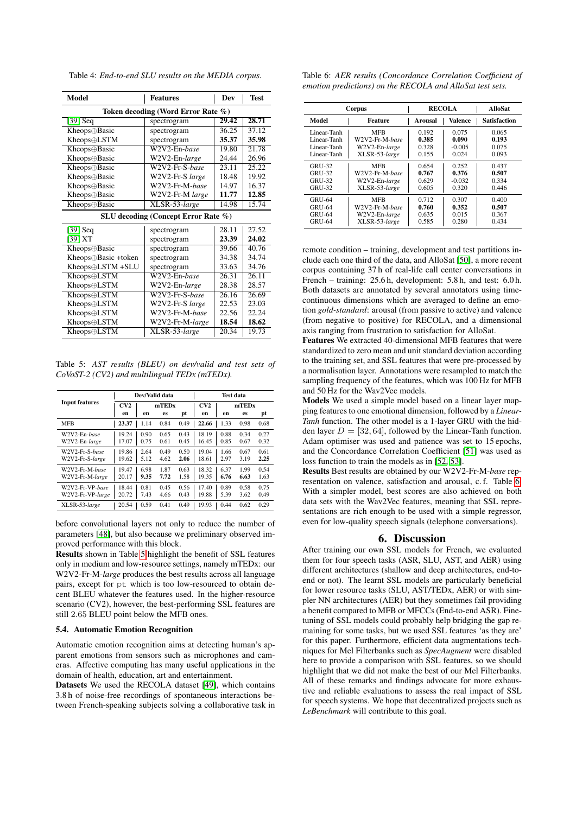Table 4: *End-to-end SLU results on the MEDIA corpus.*

| <b>Model</b>                        | Dev             | <b>Test</b> |       |  |  |  |  |  |
|-------------------------------------|-----------------|-------------|-------|--|--|--|--|--|
| Token decoding (Word Error Rate %)  |                 |             |       |  |  |  |  |  |
| [39] $Seq$                          | spectrogram     | 29.42       | 28.71 |  |  |  |  |  |
| Kheops⊕Basic                        | spectrogram     | 36.25       | 37.12 |  |  |  |  |  |
| Kheops⊕LSTM                         | spectrogram     | 35.37       | 35.98 |  |  |  |  |  |
| Kheops⊕Basic                        | W2V2-En-base    | 19.80       | 21.78 |  |  |  |  |  |
| Kheops⊕Basic                        | W2V2-En-large   | 24.44       | 26.96 |  |  |  |  |  |
| Kheops⊕Basic                        | W2V2-Fr-S-base  | 23.11       | 25.22 |  |  |  |  |  |
| Kheops⊕Basic                        | W2V2-Fr-S large | 18.48       | 19.92 |  |  |  |  |  |
| Kheops⊕Basic                        | W2V2-Fr-M-base  | 14.97       | 16.37 |  |  |  |  |  |
| Kheops⊕Basic                        | W2V2-Fr-M large | 11.77       | 12.85 |  |  |  |  |  |
| Kheops⊕Basic                        | XLSR-53-large   | 14.98       | 15.74 |  |  |  |  |  |
| SLU decoding (Concept Error Rate %) |                 |             |       |  |  |  |  |  |
| $[39]$ Seq                          | spectrogram     | 28.11       | 27.52 |  |  |  |  |  |
| $[39]$ XT                           | spectrogram     | 23.39       | 24.02 |  |  |  |  |  |
| Kheops⊕Basic                        | spectrogram     | 39.66       | 40.76 |  |  |  |  |  |
| Kheops⊕Basic +token                 | spectrogram     | 34.38       | 34.74 |  |  |  |  |  |
| Kheops⊕LSTM +SLU                    | spectrogram     | 33.63       | 34.76 |  |  |  |  |  |
| Kheops⊕LSTM                         | W2V2-En-base    | 26.31       | 26.11 |  |  |  |  |  |
| Kheops⊕LSTM                         | W2V2-En-large   | 28.38       | 28.57 |  |  |  |  |  |
| Kheops⊕LSTM                         | W2V2-Fr-S-base  | 26.16       | 26.69 |  |  |  |  |  |
| Kheops⊕LSTM                         | W2V2-Fr-S large | 22.53       | 23.03 |  |  |  |  |  |
| Kheops⊕LSTM                         | W2V2-Fr-M-base  | 22.56       | 22.24 |  |  |  |  |  |
| Kheops⊕LSTM                         | W2V2-Fr-M-large | 18.54       | 18.62 |  |  |  |  |  |
| Kheops⊕LSTM                         | XLSR-53-large   | 20.34       | 19.73 |  |  |  |  |  |

Table 5: *AST results (BLEU) on dev/valid and test sets of CoVoST-2 (CV2) and multilingual TEDx (mTEDx).*

|                       | Dev/Valid data |      |      |      | Test data |      |      |      |
|-----------------------|----------------|------|------|------|-----------|------|------|------|
| <b>Input features</b> | CV2<br>mTEDx   |      |      | CV2  | mTEDx     |      |      |      |
|                       | en             | en   | es   | pt   | en        | en   | es   | pt   |
| <b>MFB</b>            | 23.37          | 1.14 | 0.84 | 0.49 | 22.66     | 1.33 | 0.98 | 0.68 |
| W2V2-En-base          | 19.24          | 0.90 | 0.65 | 0.43 | 18.19     | 0.88 | 0.34 | 0.27 |
| W2V2-En-large         | 17.07          | 0.75 | 0.61 | 0.45 | 16.45     | 0.85 | 0.67 | 0.32 |
| W2V2-Fr-S-base        | 19.86          | 2.64 | 0.49 | 0.50 | 19.04     | 1.66 | 0.67 | 0.61 |
| W2V2-Fr-S-large       | 19.62          | 5.12 | 4.62 | 2.06 | 18.61     | 2.97 | 3.19 | 2.25 |
| W2V2-Fr-M-base        | 19.47          | 6.98 | 1.87 | 0.63 | 18.32     | 6.37 | 1.99 | 0.54 |
| W2V2-Fr-M-large       | 20.17          | 9.35 | 7.72 | 1.58 | 19.35     | 6.76 | 6.63 | 1.63 |
| W2V2-Fr-VP-base       | 18.44          | 0.81 | 0.45 | 0.56 | 17.40     | 0.89 | 0.58 | 0.75 |
| W2V2-Fr-VP-large      | 20.72          | 7.43 | 4.66 | 0.43 | 19.88     | 5.39 | 3.62 | 0.49 |
| XLSR-53-large         | 20.54          | 0.59 | 0.41 | 0.49 | 19.93     | 0.44 | 0.62 | 0.29 |

before convolutional layers not only to reduce the number of parameters [48], but also because we preliminary observed improved performance with this block.

Results shown in Table 5 highlight the benefit of SSL features only in medium and low-resource settings, namely mTEDx: our W2V2-Fr-M-*large* produces the best results across all language pairs, except for pt which is too low-resourced to obtain decent BLEU whatever the features used. In the higher-resource scenario (CV2), however, the best-performing SSL features are still 2.65 BLEU point below the MFB ones.

## 5.4. Automatic Emotion Recognition

Automatic emotion recognition aims at detecting human's apparent emotions from sensors such as microphones and cameras. Affective computing has many useful applications in the domain of health, education, art and entertainment.

Datasets We used the RECOLA dataset [49], which contains 3.8 h of noise-free recordings of spontaneous interactions between French-speaking subjects solving a collaborative task in

|  |  |  | Table 6: AER results (Concordance Correlation Coefficient of |  |
|--|--|--|--------------------------------------------------------------|--|
|  |  |  | emotion predictions) on the RECOLA and AlloSat test sets.    |  |

|               | Corpus         | <b>RECOLA</b>  | <b>AlloSat</b> |                     |
|---------------|----------------|----------------|----------------|---------------------|
| Model         | <b>Feature</b> | <b>Arousal</b> | <b>Valence</b> | <b>Satisfaction</b> |
| Linear-Tanh   | <b>MFB</b>     | 0.192          | 0.075          | 0.065               |
| Linear-Tanh   | W2V2-Fr-M-base | 0.385          | 0.090          | 0.193               |
| Linear-Tanh   | W2V2-En-large  | 0.328          | $-0.005$       | 0.075               |
| Linear-Tanh   | XLSR-53-large  | 0.155          | 0.024          | 0.093               |
| <b>GRU-32</b> | <b>MFB</b>     | 0.654          | 0.252          | 0.437               |
| <b>GRU-32</b> | W2V2-Fr-M-base | 0.767          | 0.376          | 0.507               |
| <b>GRU-32</b> | W2V2-En-large  | 0.629          | $-0.032$       | 0.334               |
| <b>GRU-32</b> | XLSR-53-large  | 0.605          | 0.320          | 0.446               |
| <b>GRU-64</b> | <b>MFB</b>     | 0.712          | 0.307          | 0.400               |
| <b>GRU-64</b> | W2V2-Fr-M-base | 0.760          | 0.352          | 0.507               |
| <b>GRU-64</b> | W2V2-En-large  | 0.635          | 0.015          | 0.367               |
| <b>GRU-64</b> | XLSR-53-large  | 0.585          | 0.280          | 0.434               |

remote condition – training, development and test partitions include each one third of the data, and AlloSat [50], a more recent corpus containing 37 h of real-life call center conversations in French – training: 25.6 h, development: 5.8 h, and test: 6.0 h. Both datasets are annotated by several annotators using timecontinuous dimensions which are averaged to define an emotion *gold-standard*: arousal (from passive to active) and valence (from negative to positive) for RECOLA, and a dimensional axis ranging from frustration to satisfaction for AlloSat.

Features We extracted 40-dimensional MFB features that were standardized to zero mean and unit standard deviation according to the training set, and SSL features that were pre-processed by a normalisation layer. Annotations were resampled to match the sampling frequency of the features, which was 100 Hz for MFB and 50 Hz for the Wav2Vec models.

Models We used a simple model based on a linear layer mapping features to one emotional dimension, followed by a *Linear-Tanh* function. The other model is a 1-layer GRU with the hidden layer  $D = [32, 64]$ , followed by the Linear-Tanh function. Adam optimiser was used and patience was set to 15 epochs, and the Concordance Correlation Coefficient [51] was used as loss function to train the models as in [52, 53].

Results Best results are obtained by our W2V2-Fr-M-*base* representation on valence, satisfaction and arousal, c. f. Table 6. With a simpler model, best scores are also achieved on both data sets with the Wav2Vec features, meaning that SSL representations are rich enough to be used with a simple regressor, even for low-quality speech signals (telephone conversations).

### 6. Discussion

After training our own SSL models for French, we evaluated them for four speech tasks (ASR, SLU, AST, and AER) using different architectures (shallow and deep architectures, end-toend or not). The learnt SSL models are particularly beneficial for lower resource tasks (SLU, AST/TEDx, AER) or with simpler NN architectures (AER) but they sometimes fail providing a benefit compared to MFB or MFCCs (End-to-end ASR). Finetuning of SSL models could probably help bridging the gap remaining for some tasks, but we used SSL features 'as they are' for this paper. Furthermore, efficient data augmentations techniques for Mel Filterbanks such as *SpecAugment* were disabled here to provide a comparison with SSL features, so we should highlight that we did not make the best of our Mel Filterbanks. All of these remarks and findings advocate for more exhaustive and reliable evaluations to assess the real impact of SSL for speech systems. We hope that decentralized projects such as *LeBenchmark* will contribute to this goal.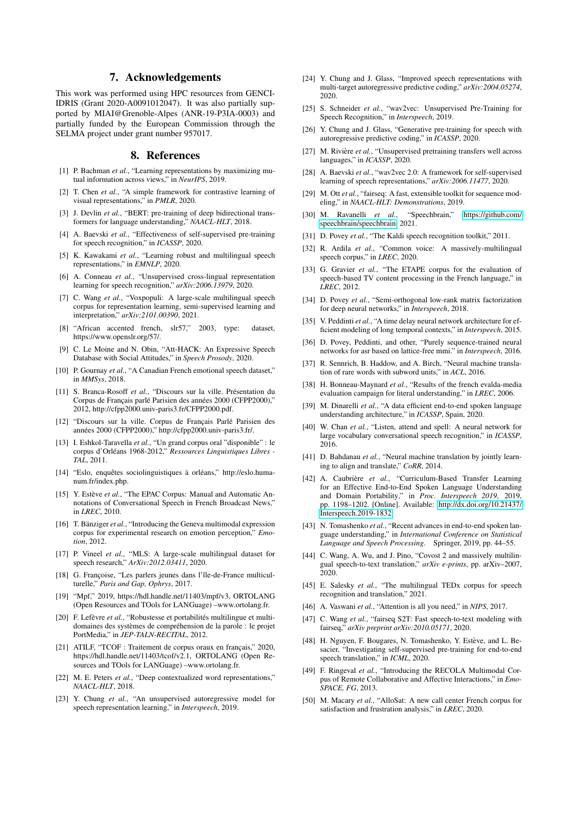## 7. Acknowledgements

This work was performed using HPC resources from GENCI-IDRIS (Grant 2020-A0091012047). It was also partially supported by MIAI@Grenoble-Alpes (ANR-19-P3IA-0003) and partially funded by the European Commission through the SELMA project under grant number 957017.

## 8. References

- [1] P. Bachman *et al.*, "Learning representations by maximizing mutual information across views," in *NeurIPS*, 2019.
- [2] T. Chen *et al.*, "A simple framework for contrastive learning of visual representations," in *PMLR*, 2020.
- [3] J. Devlin *et al.*, "BERT: pre-training of deep bidirectional transformers for language understanding," *NAACL-HLT*, 2018.
- [4] A. Baevski *et al.*, "Effectiveness of self-supervised pre-training for speech recognition," in *ICASSP*, 2020.
- [5] K. Kawakami *et al.*, "Learning robust and multilingual speech representations," in *EMNLP*, 2020.
- [6] A. Conneau *et al.*, "Unsupervised cross-lingual representation learning for speech recognition," *arXiv:2006.13979*, 2020.
- [7] C. Wang *et al.*, "Voxpopuli: A large-scale multilingual speech corpus for representation learning, semi-supervised learning and interpretation," *arXiv:2101.00390*, 2021.
- [8] "African accented french, slr57," 2003, type: dataset, https://www.openslr.org/57/.
- [9] C. Le Moine and N. Obin, "Att-HACK: An Expressive Speech Database with Social Attitudes," in *Speech Prosody*, 2020.
- [10] P. Gournay et al., "A Canadian French emotional speech dataset," in *MMSys*, 2018.
- [11] S. Branca-Rosoff et al., "Discours sur la ville. Présentation du Corpus de Français parlé Parisien des années 2000 (CFPP2000)," 2012, http://cfpp2000.univ-paris3.fr/CFPP2000.pdf.
- [12] "Discours sur la ville. Corpus de Français Parlé Parisien des années 2000 (CFPP2000)," http://cfpp2000.univ-paris3.fr/.
- [13] I. Eshkol-Taravella *et al.*, "Un grand corpus oral "disponible" : le corpus d'Orléans 1968-2012," Ressources Linguistiques Libres -*TAL*, 2011.
- $[14]$  "Eslo, enquêtes sociolinguistiques à orléans," http://eslo.humanum.fr/index.php.
- [15] Y. Estève et al., "The EPAC Corpus: Manual and Automatic Annotations of Conversational Speech in French Broadcast News," in *LREC*, 2010.
- [16] T. Bänziger *et al.*, "Introducing the Geneva multimodal expression corpus for experimental research on emotion perception," *Emotion*, 2012.
- [17] P. Vineel *et al.*, "MLS: A large-scale multilingual dataset for speech research," *ArXiv:2012.03411*, 2020.
- [18] G. Françoise, "Les parlers jeunes dans l'île-de-France multiculturelle," *Paris and Gap, Ophrys*, 2017.
- [19] "Mpf," 2019, https://hdl.handle.net/11403/mpf/v3, ORTOLANG (Open Resources and TOols for LANGuage) –www.ortolang.fr.
- [20] F. Lefèvre et al., "Robustesse et portabilités multilingue et multidomaines des systèmes de compréhension de la parole : le projet PortMedia," in *JEP-TALN-RECITAL*, 2012.
- [21] ATILF, "TCOF : Traitement de corpus oraux en français," 2020, https://hdl.handle.net/11403/tcof/v2.1, ORTOLANG (Open Resources and TOols for LANGuage) –www.ortolang.fr.
- [22] M. E. Peters *et al.*, "Deep contextualized word representations," *NAACL-HLT*, 2018.
- [23] Y. Chung *et al.*, "An unsupervised autoregressive model for speech representation learning," in *Interspeech*, 2019.
- [24] Y. Chung and J. Glass, "Improved speech representations with multi-target autoregressive predictive coding," *arXiv:2004.05274*, 2020.
- [25] S. Schneider et al., "wav2vec: Unsupervised Pre-Training for Speech Recognition," in *Interspeech*, 2019.
- [26] Y. Chung and J. Glass, "Generative pre-training for speech with autoregressive predictive coding," in *ICASSP*, 2020.
- [27] M. Rivière et al., "Unsupervised pretraining transfers well across languages," in *ICASSP*, 2020.
- [28] A. Baevski *et al.*, "wav2vec 2.0: A framework for self-supervised learning of speech representations," *arXiv:2006.11477*, 2020.
- [29] M. Ott *et al.*, "fairseq: A fast, extensible toolkit for sequence modeling," in *NAACL-HLT: Demonstrations*, 2019.
- [30] M. Ravanelli *et al.*, "Speechbrain," [https://github.com/](https://github.com/speechbrain/speechbrain) [speechbrain/speechbrain,](https://github.com/speechbrain/speechbrain) 2021.
- [31] D. Povey *et al.*, "The Kaldi speech recognition toolkit," 2011.
- [32] R. Ardila *et al.*, "Common voice: A massively-multilingual speech corpus," in *LREC*, 2020.
- [33] G. Gravier *et al.*, "The ETAPE corpus for the evaluation of speech-based TV content processing in the French language," in *LREC*, 2012.
- [34] D. Povey *et al.*, "Semi-orthogonal low-rank matrix factorization for deep neural networks," in *Interspeech*, 2018.
- [35] V. Peddinti *et al.*, "A time delay neural network architecture for efficient modeling of long temporal contexts," in *Interspeech*, 2015.
- [36] D. Povey, Peddinti, and other, "Purely sequence-trained neural networks for asr based on lattice-free mmi." in *Interspeech*, 2016.
- [37] R. Sennrich, B. Haddow, and A. Birch, "Neural machine translation of rare words with subword units," in *ACL*, 2016.
- [38] H. Bonneau-Maynard et al., "Results of the french evalda-media evaluation campaign for literal understanding," in *LREC*, 2006.
- [39] M. Dinarelli *et al.*, "A data efficient end-to-end spoken language understanding architecture," in *ICASSP*, Spain, 2020.
- [40] W. Chan *et al.*, "Listen, attend and spell: A neural network for large vocabulary conversational speech recognition," in *ICASSP*, 2016.
- [41] D. Bahdanau et al., "Neural machine translation by jointly learning to align and translate," *CoRR*, 2014.
- [42] A. Caubrière et al., "Curriculum-Based Transfer Learning for an Effective End-to-End Spoken Language Understanding and Domain Portability," in *Proc. Interspeech 2019*, 2019, pp. 1198–1202. [Online]. Available: [http://dx.doi.org/10.21437/](http://dx.doi.org/10.21437/Interspeech.2019-1832) [Interspeech.2019-1832](http://dx.doi.org/10.21437/Interspeech.2019-1832)
- [43] N. Tomashenko et al., "Recent advances in end-to-end spoken language understanding," in *International Conference on Statistical Language and Speech Processing*. Springer, 2019, pp. 44–55.
- [44] C. Wang, A. Wu, and J. Pino, "Covost 2 and massively multilingual speech-to-text translation," *arXiv e-prints*, pp. arXiv–2007, 2020.
- [45] E. Salesky *et al.*, "The multilingual TED<sub>x</sub> corpus for speech recognition and translation," 2021.
- [46] A. Vaswani *et al.*, "Attention is all you need," in *NIPS*, 2017.
- [47] C. Wang *et al.*, "fairseq S2T: Fast speech-to-text modeling with fairseq," *arXiv preprint arXiv:2010.05171*, 2020.
- [48] H. Nguyen, F. Bougares, N. Tomashenko, Y. Estève, and L. Besacier, "Investigating self-supervised pre-training for end-to-end speech translation," in *ICML*, 2020.
- [49] F. Ringeval *et al.*, "Introducing the RECOLA Multimodal Corpus of Remote Collaborative and Affective Interactions," in *Emo-SPACE, FG*, 2013.
- [50] M. Macary *et al.*, "AlloSat: A new call center French corpus for satisfaction and frustration analysis," in *LREC*, 2020.